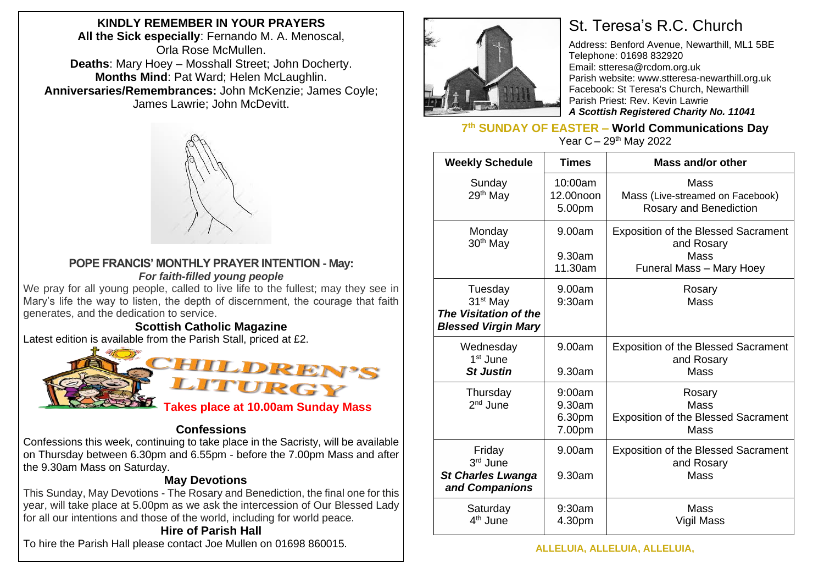**KINDLY REMEMBER IN YOUR PRAYERS All the Sick especially**: Fernando M. A. Menoscal, Orla Rose McMullen. **Deaths**: Mary Hoey – Mosshall Street; John Docherty. **Months Mind**: Pat Ward; Helen McLaughlin. **Anniversaries/Remembrances:** John McKenzie; James Coyle; James Lawrie; John McDevitt.



#### **POPE FRANCIS' MONTHLY PRAYER INTENTION - May:** *For faith-filled young people*

We pray for all young people, called to live life to the fullest; may they see in Mary's life the way to listen, the depth of discernment, the courage that faith generates, and the dedication to service.

#### **Scottish Catholic Magazine**

Latest edition is available from the Parish Stall, priced at £2.



## **Confessions**

Confessions this week, continuing to take place in the Sacristy, will be available on Thursday between 6.30pm and 6.55pm - before the 7.00pm Mass and after the 9.30am Mass on Saturday.

## **May Devotions**

This Sunday, May Devotions - The Rosary and Benediction, the final one for this year, will take place at 5.00pm as we ask the intercession of Our Blessed Lady for all our intentions and those of the world, including for world peace.

# **Hire of Parish Hall**

To hire the Parish Hall please contact Joe Mullen on 01698 860015.



# St. Teresa's R.C. Church

Address: Benford Avenue, Newarthill, ML1 5BE Telephone: 01698 832920 Email: stteresa@rcdom.org.uk Parish website: [www.stteresa-newarthill.org.uk](http://www.stteresa-newarthill.org.uk/) Facebook: St Teresa's Church, Newarthill Parish Priest: Rev. Kevin Lawrie *A Scottish Registered Charity No. 11041*

**7 th SUNDAY OF EASTER – World Communications Day** Year  $C - 29$ <sup>th</sup> May 2022

| <b>Weekly Schedule</b>                                                                 | <b>Times</b>                         | Mass and/or other                                                                            |
|----------------------------------------------------------------------------------------|--------------------------------------|----------------------------------------------------------------------------------------------|
| Sunday<br>29 <sup>th</sup> May                                                         | 10:00am<br>12.00noon<br>5.00pm       | Mass<br>Mass (Live-streamed on Facebook)<br>Rosary and Benediction                           |
| Monday<br>30 <sup>th</sup> May                                                         | 9.00am<br>9.30am<br>11.30am          | <b>Exposition of the Blessed Sacrament</b><br>and Rosary<br>Mass<br>Funeral Mass - Mary Hoey |
| Tuesday<br>31 <sup>st</sup> May<br>The Visitation of the<br><b>Blessed Virgin Mary</b> | 9.00am<br>9:30am                     | Rosary<br><b>Mass</b>                                                                        |
| Wednesday<br>1 <sup>st</sup> June<br><b>St Justin</b>                                  | 9.00am<br>9.30am                     | <b>Exposition of the Blessed Sacrament</b><br>and Rosary<br>Mass                             |
| Thursday<br>$2nd$ June                                                                 | 9:00am<br>9.30am<br>6.30pm<br>7.00pm | Rosary<br>Mass<br><b>Exposition of the Blessed Sacrament</b><br>Mass                         |
| Friday<br>3rd June<br><b>St Charles Lwanga</b><br>and Companions                       | 9.00am<br>9.30am                     | <b>Exposition of the Blessed Sacrament</b><br>and Rosary<br>Mass                             |
| Saturday<br>4 <sup>th</sup> June                                                       | 9:30am<br>4.30pm                     | Mass<br>Vigil Mass                                                                           |

**ALLELUIA, ALLELUIA, ALLELUIA,**